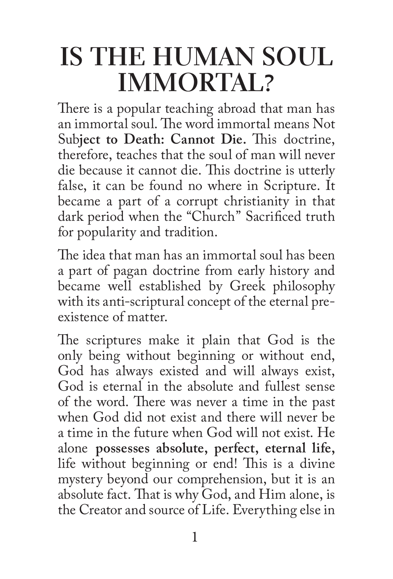## **IS THE HUMAN SOUL IMMORTAL?**

There is a popular teaching abroad that man has an immortal soul. The word immortal means Not Sub**ject to Death: Cannot Die.** This doctrine, therefore, teaches that the soul of man will never die because it cannot die. This doctrine is utterly false, it can be found no where in Scripture. It became a part of a corrupt christianity in that dark period when the "Church" Sacrificed truth for popularity and tradition.

The idea that man has an immortal soul has been a part of pagan doctrine from early history and became well established by Greek philosophy with its anti-scriptural concept of the eternal preexistence of matter.

The scriptures make it plain that God is the only being without beginning or without end, God has always existed and will always exist, God is eternal in the absolute and fullest sense of the word. There was never a time in the past when God did not exist and there will never be a time in the future when God will not exist. He alone **possesses absolute, perfect, eternal life,**  life without beginning or end! This is a divine mystery beyond our comprehension, but it is an absolute fact. That is why God, and Him alone, is the Creator and source of Life. Everything else in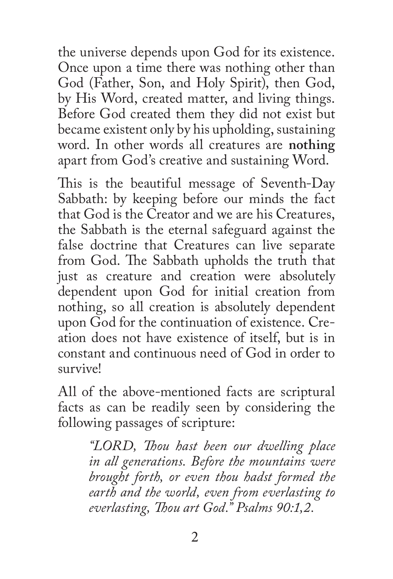the universe depends upon God for its existence. Once upon a time there was nothing other than God (Father, Son, and Holy Spirit), then God, by His Word, created matter, and living things. Before God created them they did not exist but became existent only by his upholding, sustaining word. In other words all creatures are **nothing** apart from God's creative and sustaining Word.

This is the beautiful message of Seventh-Day Sabbath: by keeping before our minds the fact that God is the Creator and we are his Creatures, the Sabbath is the eternal safeguard against the false doctrine that Creatures can live separate from God. The Sabbath upholds the truth that just as creature and creation were absolutely dependent upon God for initial creation from nothing, so all creation is absolutely dependent upon God for the continuation of existence. Creation does not have existence of itself, but is in constant and continuous need of God in order to survive!

All of the above-mentioned facts are scriptural facts as can be readily seen by considering the following passages of scripture:

> *"LORD, Thou hast been our dwelling place in all generations. Before the mountains were brought forth, or even thou hadst formed the earth and the world, even from everlasting to everlasting, Thou art God." Psalms 90:1,2.*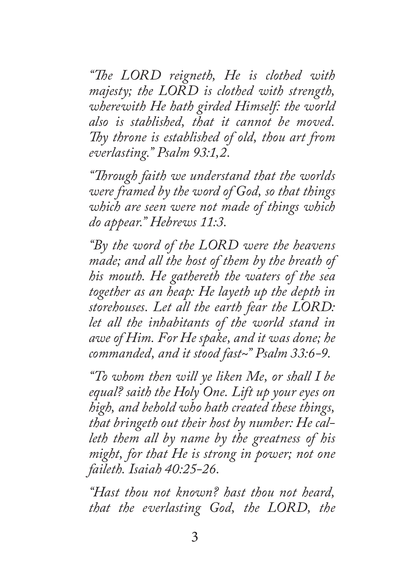*"The LORD reigneth, He is clothed with majesty; the LORD is clothed with strength, wherewith He hath girded Himself: the world also is stablished, that it cannot be moved. Thy throne is established of old, thou art from everlasting." Psalm 93:1,2.*

*"Through faith we understand that the worlds were framed by the word of God, so that things which are seen were not made of things which do appear." Hebrews 11:3.*

*"By the word of the LORD were the heavens made; and all the host of them by the breath of his mouth. He gathereth the waters of the sea together as an heap: He layeth up the depth in storehouses. Let all the earth fear the LORD: let all the inhabitants of the world stand in awe of Him. For He spake, and it was done; he commanded, and it stood fast~" Psalm 33:6-9.*

*"To whom then will ye liken Me, or shall I be equal? saith the Holy One. Lift up your eyes on high, and behold who hath created these things, that bringeth out their host by number: He calleth them all by name by the greatness of his might, for that He is strong in power; not one faileth. Isaiah 40:25-26.*

*"Hast thou not known? hast thou not heard, that the everlasting God, the LORD, the*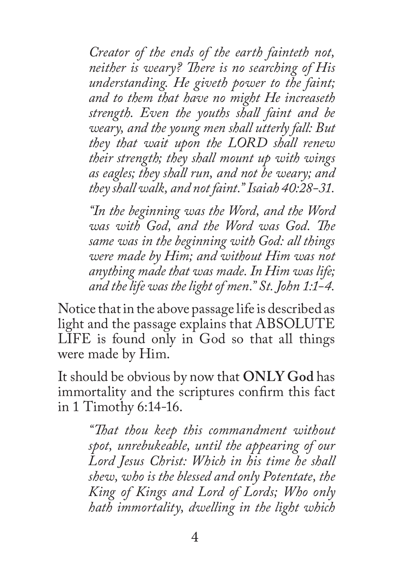*Creator of the ends of the earth fainteth not, neither is weary? There is no searching of His understanding. He giveth power to the faint; and to them that have no might He increaseth strength. Even the youths shall faint and be weary, and the young men shall utterly fall: But they that wait upon the LORD shall renew their strength; they shall mount up with wings as eagles; they shall run, and not be weary; and they shall walk, and not faint." Isaiah 40:28-31.*

*"In the beginning was the Word, and the Word was with God, and the Word was God. The same was in the beginning with God: all things were made by Him; and without Him was not anything made that was made. In Him was life; and the life was the light of men." St. John 1:1-4.*

Notice that in the above passage life is described as light and the passage explains that ABSOLUTE LIFE is found only in God so that all things were made by Him.

It should be obvious by now that **ONLY God** has immortality and the scriptures confirm this fact in 1 Timothy 6:14-16.

> *"That thou keep this commandment without spot, unrebukeable, until the appearing of our Lord Jesus Christ: Which in his time he shall shew, who is the blessed and only Potentate, the King of Kings and Lord of Lords; Who only hath immortality, dwelling in the light which*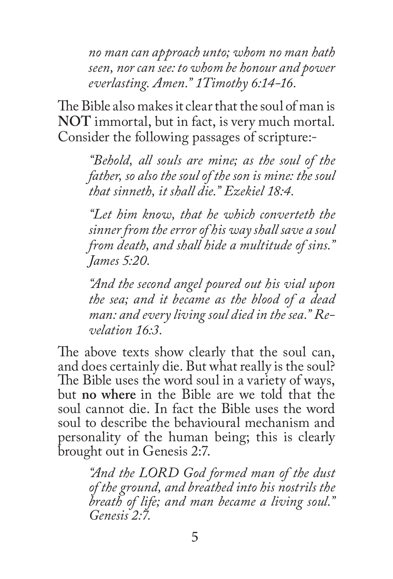*no man can approach unto; whom no man hath seen, nor can see: to whom be honour and power everlasting. Amen." 1Timothy 6:14-16.*

The Bible also makes it clear that the soul of man is **NOT** immortal, but in fact, is very much mortal. Consider the following passages of scripture:-

*"Behold, all souls are mine; as the soul of the father, so also the soul of the son is mine: the soul that sinneth, it shall die." Ezekiel 18:4.*

*"Let him know, that he which converteth the sinner from the error of his way shall save a soul from death, and shall hide a multitude of sins." James 5:20.*

*"And the second angel poured out his vial upon the sea; and it became as the blood of a dead man: and every living soul died in the sea." Revelation 16:3.*

The above texts show clearly that the soul can, and does certainly die. But what really is the soul? The Bible uses the word soul in a variety of ways, but **no where** in the Bible are we told that the soul cannot die. In fact the Bible uses the word soul to describe the behavioural mechanism and personality of the human being; this is clearly brought out in Genesis 2:7.

> *"And the LORD God formed man of the dust of the ground, and breathed into his nostrils the breath of life; and man became a living soul." Genesis 2:7.*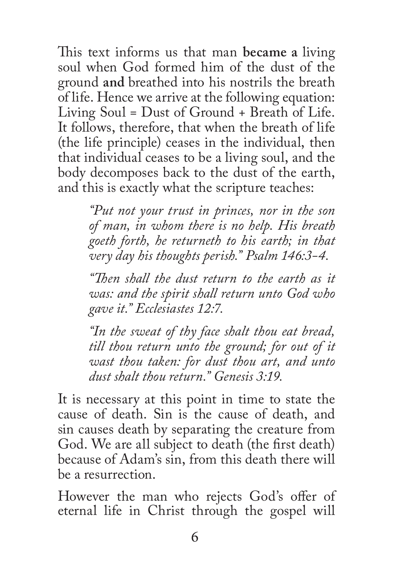This text informs us that man **became a** living soul when God formed him of the dust of the ground **and** breathed into his nostrils the breath of life. Hence we arrive at the following equation: Living Soul = Dust of Ground + Breath of Life. It follows, therefore, that when the breath of life (the life principle) ceases in the individual, then that individual ceases to be a living soul, and the body decomposes back to the dust of the earth, and this is exactly what the scripture teaches:

> *"Put not your trust in princes, nor in the son of man, in whom there is no help. His breath goeth forth, he returneth to his earth; in that very day his thoughts perish." Psalm 146:3-4.*

> *"Then shall the dust return to the earth as it was: and the spirit shall return unto God who gave it." Ecclesiastes 12:7.*

> *"In the sweat of thy face shalt thou eat bread, till thou return unto the ground; for out of it wast thou taken: for dust thou art, and unto dust shalt thou return." Genesis 3:19.*

It is necessary at this point in time to state the cause of death. Sin is the cause of death, and sin causes death by separating the creature from God. We are all subject to death (the first death) because of Adam's sin, from this death there will be a resurrection.

However the man who rejects God's offer of eternal life in Christ through the gospel will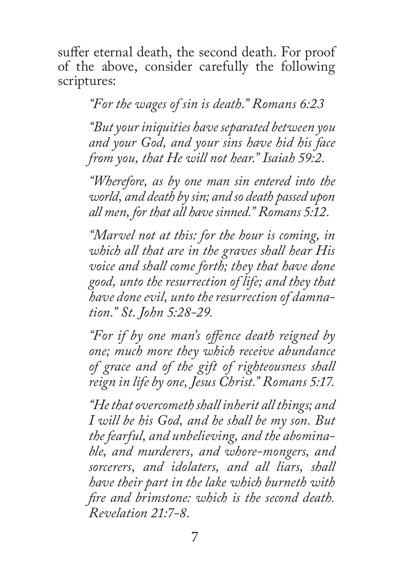suffer eternal death, the second death. For proof of the above, consider carefully the following scriptures:

*"For the wages of sin is death." Romans 6:23*

*"But your iniquities have separated between you and your God, and your sins have hid his face from you, that He will not hear." Isaiah 59:2.*

*"Wherefore, as by one man sin entered into the world, and death by sin; and so death passed upon all men, for that all have sinned." Romans 5:12.*

*"Marvel not at this: for the hour is coming, in which all that are in the graves shall hear His voice and shall come forth; they that have done good, unto the resurrection of life; and they that have done evil, unto the resurrection of damnation." St. John 5:28-29.*

*"For if by one man's offence death reigned by one; much more they which receive abundance of grace and of the gift of righteousness shall reign in life by one, Jesus Christ." Romans 5:17.*

*"He that overcometh shall inherit all things; and I will be his God, and he shall be my son. But the fearful, and unbelieving, and the abominable, and murderers, and whore-mongers, and sorcerers, and idolaters, and all liars, shall have their part in the lake which burneth with fire and brimstone: which is the second death. Revelation 21:7-8.*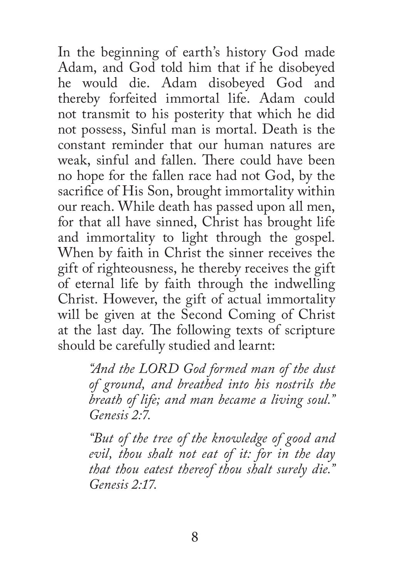In the beginning of earth's history God made Adam, and God told him that if he disobeyed he would die. Adam disobeyed God and thereby forfeited immortal life. Adam could not transmit to his posterity that which he did not possess, Sinful man is mortal. Death is the constant reminder that our human natures are weak, sinful and fallen. There could have been no hope for the fallen race had not God, by the sacrifice of His Son, brought immortality within our reach. While death has passed upon all men, for that all have sinned, Christ has brought life and immortality to light through the gospel. When by faith in Christ the sinner receives the gift of righteousness, he thereby receives the gift of eternal life by faith through the indwelling Christ. However, the gift of actual immortality will be given at the Second Coming of Christ at the last day. The following texts of scripture should be carefully studied and learnt:

> *"And the LORD God formed man of the dust of ground, and breathed into his nostrils the breath of life; and man became a living soul." Genesis 2:7.*

> *"But of the tree of the knowledge of good and evil, thou shalt not eat of it: for in the day that thou eatest thereof thou shalt surely die." Genesis 2:17.*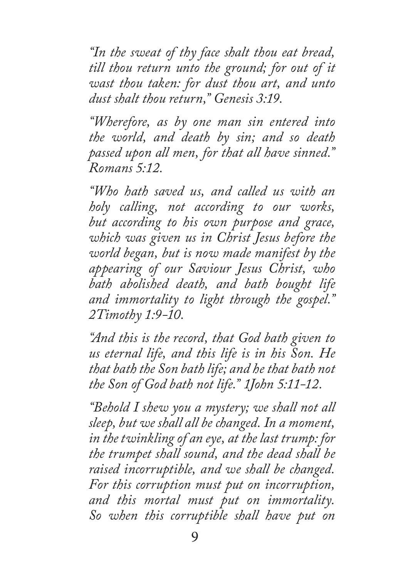*"In the sweat of thy face shalt thou eat bread, till thou return unto the ground; for out of it wast thou taken: for dust thou art, and unto dust shalt thou return," Genesis 3:19.*

*"Wherefore, as by one man sin entered into the world, and death by sin; and so death passed upon all men, for that all have sinned." Romans 5:12.*

*"Who hath saved us, and called us with an holy calling, not according to our works, but according to his own purpose and grace, which was given us in Christ Jesus before the world began, but is now made manifest by the appearing of our Saviour Jesus Christ, who bath abolished death, and bath bought life and immortality to light through the gospel." 2Timothy 1:9-10.*

*"And this is the record, that God bath given to us eternal life, and this life is in his Son. He that bath the Son bath life; and he that bath not the Son of God bath not life." 1John 5:11-12.*

*"Behold I shew you a mystery; we shall not all sleep, but we shall all be changed. In a moment, in the twinkling of an eye, at the last trump: for the trumpet shall sound, and the dead shall be raised incorruptible, and we shall be changed. For this corruption must put on incorruption, and this mortal must put on immortality. So when this corruptible shall have put on*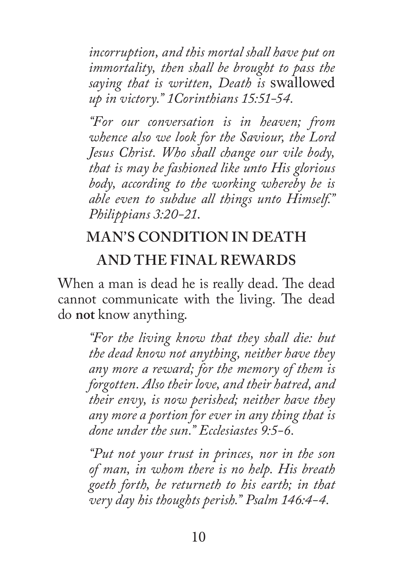*incorruption, and this mortal shall have put on immortality, then shall be brought to pass the saying that is written, Death is* swallowed *up in victory." 1Corinthians 15:51-54.*

*"For our conversation is in heaven; from whence also we look for the Saviour, the Lord Jesus Christ. Who shall change our vile body, that is may be fashioned like unto His glorious body, according to the working whereby be is able even to subdue all things unto Himself." Philippians 3:20-21*.

## **MAN'S CONDITION IN DEATH AND THE FINAL REWARDS**

When a man is dead he is really dead. The dead cannot communicate with the living. The dead do **not** know anything.

*"For the living know that they shall die: but the dead know not anything, neither have they any more a reward; for the memory of them is forgotten. Also their love, and their hatred, and their envy, is now perished; neither have they any more a portion for ever in any thing that is done under the sun." Ecclesiastes 9:5-6.*

*"Put not your trust in princes, nor in the son of man, in whom there is no help. His breath goeth forth, be returneth to his earth; in that very day his thoughts perish." Psalm 146:4-4.*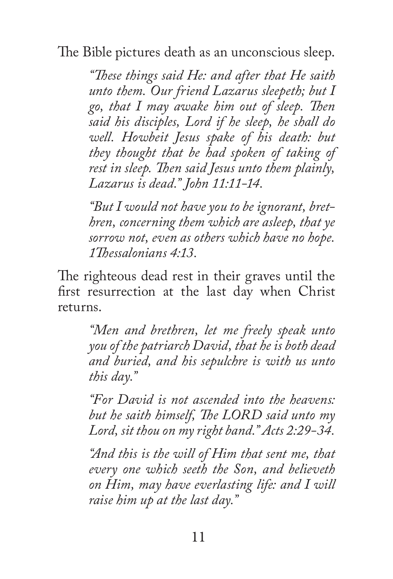The Bible pictures death as an unconscious sleep.

*"These things said He: and after that He saith unto them. Our friend Lazarus sleepeth; but I go, that I may awake him out of sleep. Then said his disciples, Lord if he sleep, he shall do well. Howbeit Jesus spake of his death: but they thought that be had spoken of taking of rest in sleep. Then said Jesus unto them plainly, Lazarus is dead." John 11:11-14.*

*"But I would not have you to be ignorant, brethren, concerning them which are asleep, that ye sorrow not, even as others which have no hope. 1Thessalonians 4:13.*

The righteous dead rest in their graves until the first resurrection at the last day when Christ returns.

> *"Men and brethren, let me freely speak unto you of the patriarch David, that he is both dead and buried, and his sepulchre is with us unto this day."*

> *"For David is not ascended into the heavens: but he saith himself, The LORD said unto my Lord, sit thou on my right band." Acts 2:29-34.*

> *"And this is the will of Him that sent me, that every one which seeth the Son, and believeth on Him, may have everlasting life: and I will raise him up at the last day."*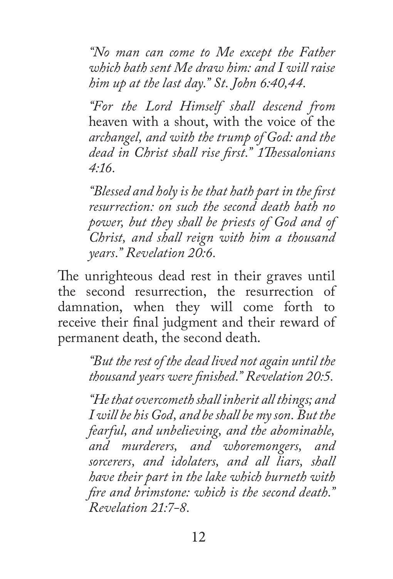*"No man can come to Me except the Father which bath sent Me draw him: and I will raise him up at the last day." St. John 6:40,44.*

*"For the Lord Himself shall descend from*  heaven with a shout, with the voice of the *archangel, and with the trump of God: and the dead in Christ shall rise first." 1Thessalonians 4:16.*

*"Blessed and holy is he that hath part in the first resurrection: on such the second death bath no power, but they shall be priests of God and of Christ, and shall reign with him a thousand years." Revelation 20:6.*

The unrighteous dead rest in their graves until the second resurrection, the resurrection of damnation, when they will come forth to receive their final judgment and their reward of permanent death, the second death.

> *"But the rest of the dead lived not again until the thousand years were finished." Revelation 20:5.*

*"He that overcometh shall inherit all things; and I will be his God, and be shall be my son. But the fearful, and unbelieving, and the abominable, and murderers, and whoremongers, and sorcerers, and idolaters, and all liars, shall have their part in the lake which burneth with fire and brimstone: which is the second death." Revelation 21:7-8.*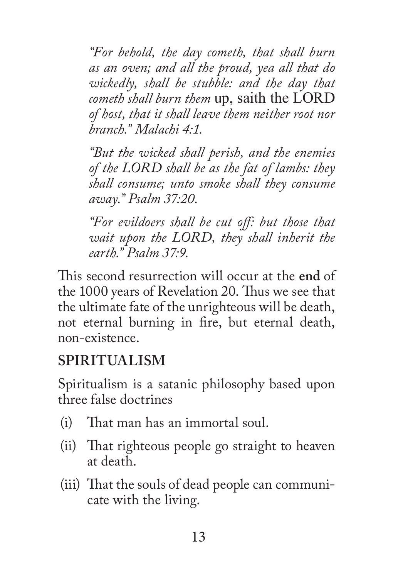*"For behold, the day cometh, that shall burn as an oven; and all the proud, yea all that do wickedly, shall be stubble: and the day that cometh shall burn them* up, saith the LORD *of host, that it shall leave them neither root nor branch." Malachi 4:1.*

*"But the wicked shall perish, and the enemies of the LORD shall be as the fat of lambs: they shall consume; unto smoke shall they consume away." Psalm 37:20.*

*"For evildoers shall be cut off: but those that wait upon the LORD, they shall inherit the earth." Psalm 37:9.*

This second resurrection will occur at the **end** of the 1000 years of Revelation 20. Thus we see that the ultimate fate of the unrighteous will be death, not eternal burning in fire, but eternal death, non-existence.

## **SPIRITUALISM**

Spiritualism is a satanic philosophy based upon three false doctrines

- (i) That man has an immortal soul.
- (ii) That righteous people go straight to heaven at death.
- (iii) That the souls of dead people can communicate with the living.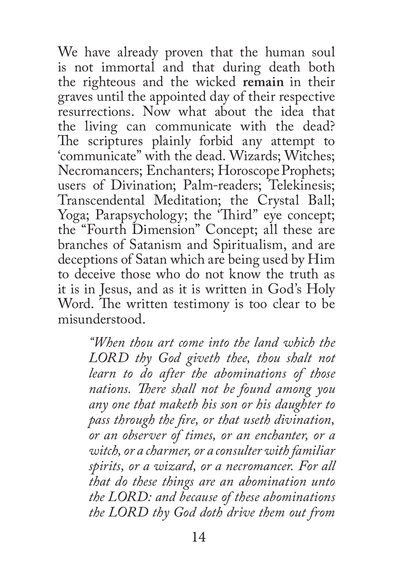We have already proven that the human soul is not immortal and that during death both the righteous and the wicked **remain** in their graves until the appointed day of their respective resurrections. Now what about the idea that the living can communicate with the dead? The scriptures plainly forbid any attempt to 'communicate" with the dead. Wizards; Witches; Necromancers; Enchanters; Horoscope Prophets; users of Divination; Palm-readers; Telekinesis; Transcendental Meditation; the Crystal Ball; Yoga; Parapsychology; the 'Third" eye concept; the "Fourth Dimension" Concept; all these are branches of Satanism and Spiritualism, and are deceptions of Satan which are being used by Him to deceive those who do not know the truth as it is in Jesus, and as it is written in God's Holy Word. The written testimony is too clear to be misunderstood.

> *"When thou art come into the land which the LORD thy God giveth thee, thou shalt not learn to do after the abominations of those nations. There shall not be found among you any one that maketh his son or his daughter to pass through the fire, or that useth divination, or an observer of times, or an enchanter, or a witch, or a charmer, or a consulter with familiar spirits, or a wizard, or a necromancer. For all that do these things are an abomination unto the LORD: and because of these abominations the LORD thy God doth drive them out from*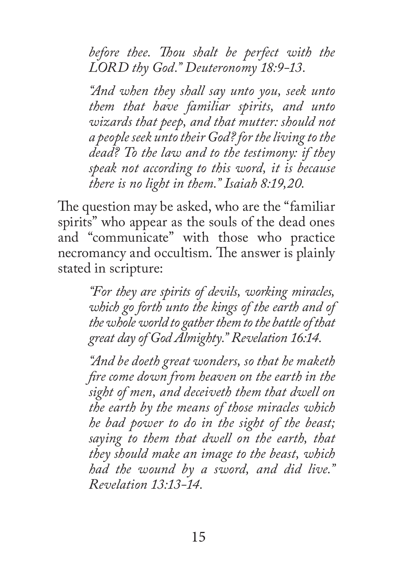*before thee. Thou shalt be perfect with the LORD thy God." Deuteronomy 18:9-13.*

*"And when they shall say unto you, seek unto them that have familiar spirits, and unto wizards that peep, and that mutter: should not a people seek unto their God? for the living to the dead? To the law and to the testimony: if they speak not according to this word, it is because there is no light in them." Isaiah 8:19,20.*

The question may be asked, who are the "familiar spirits" who appear as the souls of the dead ones and "communicate" with those who practice necromancy and occultism. The answer is plainly stated in scripture:

> *"For they are spirits of devils, working miracles, which go forth unto the kings of the earth and of the whole world to gather them to the battle of that great day of God Almighty." Revelation 16:14.*

> *"And be doeth great wonders, so that he maketh fire come down from heaven on the earth in the sight of men, and deceiveth them that dwell on the earth by the means of those miracles which he bad power to do in the sight of the beast; saying to them that dwell on the earth, that they should make an image to the beast, which had the wound by a sword, and did live." Revelation 13:13-14.*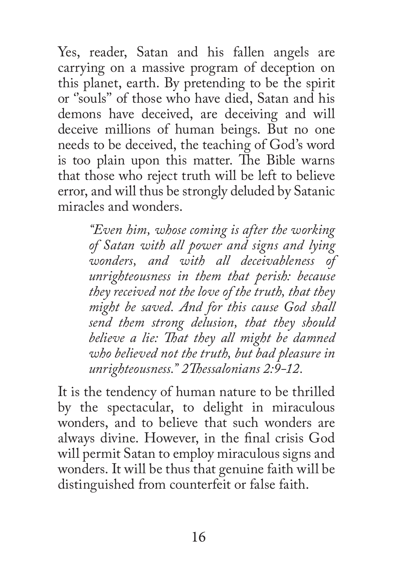Yes, reader, Satan and his fallen angels are carrying on a massive program of deception on this planet, earth. By pretending to be the spirit or ''souls'' of those who have died, Satan and his demons have deceived, are deceiving and will deceive millions of human beings. But no one needs to be deceived, the teaching of God's word is too plain upon this matter. The Bible warns that those who reject truth will be left to believe error, and will thus be strongly deluded by Satanic miracles and wonders.

> *"Even him, whose coming is after the working of Satan with all power and signs and lying wonders, and with all deceivableness of unrighteousness in them that perish: because they received not the love of the truth, that they might be saved. And for this cause God shall send them strong delusion, that they should believe a lie: That they all might be damned who believed not the truth, but bad pleasure in unrighteousness." 2Thessalonians 2:9-12.*

It is the tendency of human nature to be thrilled by the spectacular, to delight in miraculous wonders, and to believe that such wonders are always divine. However, in the final crisis God will permit Satan to employ miraculous signs and wonders. It will be thus that genuine faith will be distinguished from counterfeit or false faith.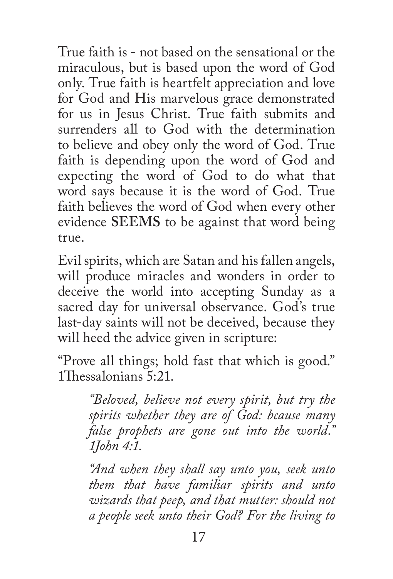True faith is - not based on the sensational or the miraculous, but is based upon the word of God only. True faith is heartfelt appreciation and love for God and His marvelous grace demonstrated for us in Jesus Christ. True faith submits and surrenders all to God with the determination to believe and obey only the word of God. True faith is depending upon the word of God and expecting the word of God to do what that word says because it is the word of God. True faith believes the word of God when every other evidence **SEEMS** to be against that word being true.

Evil spirits, which are Satan and his fallen angels, will produce miracles and wonders in order to deceive the world into accepting Sunday as a sacred day for universal observance. God's true last-day saints will not be deceived, because they will heed the advice given in scripture:

"Prove all things; hold fast that which is good." 1Thessalonians 5:21.

*"Beloved, believe not every spirit, but try the spirits whether they are of God: bcause many false prophets are gone out into the world." 1John 4:1.*

*"And when they shall say unto you, seek unto them that have familiar spirits and unto wizards that peep, and that mutter: should not a people seek unto their God? For the living to*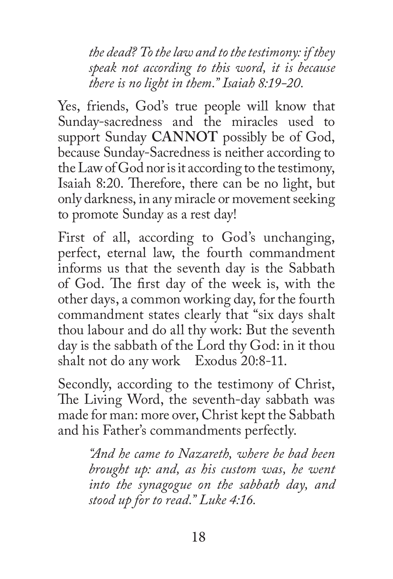*the dead? To the law and to the testimony: if they speak not according to this word, it is because there is no light in them." Isaiah 8:19-20.*

Yes, friends, God's true people will know that Sunday-sacredness and the miracles used to support Sunday **CANNOT** possibly be of God, because Sunday-Sacredness is neither according to the Law of God nor is it according to the testimony, Isaiah 8:20. Therefore, there can be no light, but only darkness, in any miracle or movement seeking to promote Sunday as a rest day!

First of all, according to God's unchanging, perfect, eternal law, the fourth commandment informs us that the seventh day is the Sabbath of God. The first day of the week is, with the other days, a common working day, for the fourth commandment states clearly that "six days shalt thou labour and do all thy work: But the seventh day is the sabbath of the Lord thy God: in it thou shalt not do any work Exodus 20:8-11.

Secondly, according to the testimony of Christ, The Living Word, the seventh-day sabbath was made for man: more over, Christ kept the Sabbath and his Father's commandments perfectly.

> *"And he came to Nazareth, where be bad been brought up: and, as his custom was, he went into the synagogue on the sabbath day, and stood up for to read." Luke 4:16.*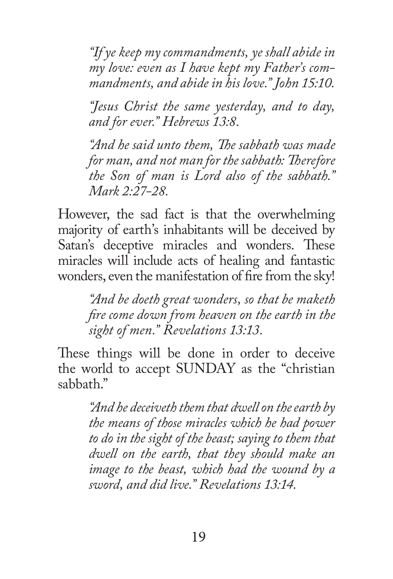*"If ye keep my commandments, ye shall abide in my love: even as I have kept my Father's commandments, and abide in his love." John 15:10.*

*"Jesus Christ the same yesterday, and to day, and for ever." Hebrews 13:8.*

*"And he said unto them, The sabbath was made for man, and not man for the sabbath: Therefore the Son of man is Lord also of the sabbath." Mark 2:27-28.*

However, the sad fact is that the overwhelming majority of earth's inhabitants will be deceived by Satan's deceptive miracles and wonders. These miracles will include acts of healing and fantastic wonders, even the manifestation of fire from the sky!

*"And be doeth great wonders, so that be maketh fire come down from heaven on the earth in the sight of men." Revelations 13:13.*

These things will be done in order to deceive the world to accept SUNDAY as the "christian sabbath."

> *"And he deceiveth them that dwell on the earth by the means of those miracles which he had power to do in the sight of the beast; saying to them that dwell on the earth, that they should make an image to the beast, which had the wound by a sword, and did live." Revelations 13:14.*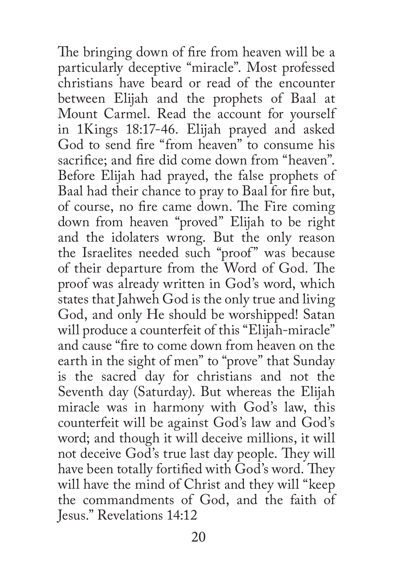The bringing down of fire from heaven will be a particularly deceptive "miracle". Most professed christians have beard or read of the encounter between Elijah and the prophets of Baal at Mount Carmel. Read the account for yourself in 1Kings 18:17-46. Elijah prayed and asked God to send fire "from heaven" to consume his sacrifice; and fire did come down from "heaven". Before Elijah had prayed, the false prophets of Baal had their chance to pray to Baal for fire but, of course, no fire came down. The Fire coming down from heaven "proved" Elijah to be right and the idolaters wrong. But the only reason the Israelites needed such "proof" was because of their departure from the Word of God. The proof was already written in God's word, which states that Jahweh God is the only true and living God, and only He should be worshipped! Satan will produce a counterfeit of this "Elijah-miracle" and cause "fire to come down from heaven on the earth in the sight of men" to "prove" that Sunday is the sacred day for christians and not the Seventh day (Saturday). But whereas the Elijah miracle was in harmony with God's law, this counterfeit will be against God's law and God's word; and though it will deceive millions, it will not deceive God's true last day people. They will have been totally fortified with God's word. They will have the mind of Christ and they will "keep the commandments of God, and the faith of Jesus." Revelations 14:12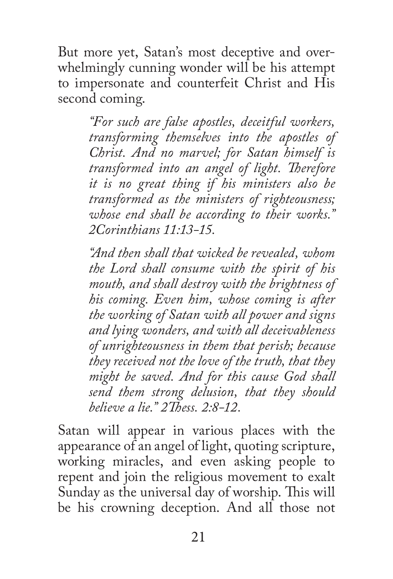But more yet, Satan's most deceptive and overwhelmingly cunning wonder will be his attempt to impersonate and counterfeit Christ and His second coming.

> *"For such are false apostles, deceitful workers, transforming themselves into the apostles of Christ. And no marvel; for Satan himself is transformed into an angel of light. Therefore it is no great thing if his ministers also be transformed as the ministers of righteousness; whose end shall be according to their works." 2Corinthians 11:13-15.*

> *"And then shall that wicked be revealed, whom the Lord shall consume with the spirit of his mouth, and shall destroy with the brightness of his coming. Even him, whose coming is after the working of Satan with all power and signs and lying wonders, and with all deceivableness of unrighteousness in them that perish; because they received not the love of the truth, that they might be saved. And for this cause God shall send them strong delusion, that they should believe a lie." 2Thess. 2:8-12.*

Satan will appear in various places with the appearance of an angel of light, quoting scripture, working miracles, and even asking people to repent and join the religious movement to exalt Sunday as the universal day of worship. This will be his crowning deception. And all those not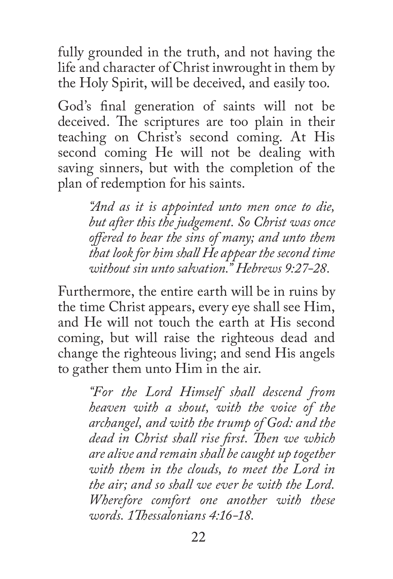fully grounded in the truth, and not having the life and character of Christ inwrought in them by the Holy Spirit, will be deceived, and easily too.

God's final generation of saints will not be deceived. The scriptures are too plain in their teaching on Christ's second coming. At His second coming He will not be dealing with saving sinners, but with the completion of the plan of redemption for his saints.

> *"And as it is appointed unto men once to die, but after this the judgement. So Christ was once offered to bear the sins of many; and unto them that look for him shall He appear the second time without sin unto salvation." Hebrews 9:27-28.*

Furthermore, the entire earth will be in ruins by the time Christ appears, every eye shall see Him, and He will not touch the earth at His second coming, but will raise the righteous dead and change the righteous living; and send His angels to gather them unto Him in the air.

> *"For the Lord Himself shall descend from heaven with a shout, with the voice of the archangel, and with the trump of God: and the dead in Christ shall rise first. Then we which are alive and remain shall be caught up together with them in the clouds, to meet the Lord in the air; and so shall we ever be with the Lord. Wherefore comfort one another with these words. 1Thessalonians 4:16-18.*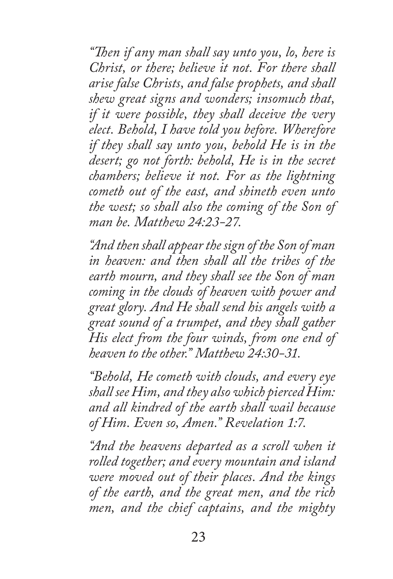*"Then if any man shall say unto you, lo, here is Christ, or there; believe it not. For there shall arise false Christs, and false prophets, and shall shew great signs and wonders; insomuch that, if it were possible, they shall deceive the very elect. Behold, I have told you before. Wherefore if they shall say unto you, behold He is in the desert; go not forth: behold, He is in the secret chambers; believe it not. For as the lightning cometb out of the east, and shineth even unto the west; so shall also the coming of the Son of man be. Matthew 24:23-27.*

*"And then shall appear the sign of the Son of man in heaven: and then shall all the tribes of the earth mourn, and they shall see the Son of man coming in the clouds of heaven with power and great glory. And He shall send his angels with a great sound of a trumpet, and they shall gather His elect from the four winds, from one end of heaven to the other." Matthew 24:30-31.*

*"Behold, He cometh with clouds, and every eye shall see Him, and they also which pierced Him: and all kindred of the earth shall wail because of Him. Even so, Amen." Revelation 1:7.*

*"And the heavens departed as a scroll when it rolled together; and every mountain and island were moved out of their places. And the kings of the earth, and the great men, and the rich men, and the chief captains, and the mighty*